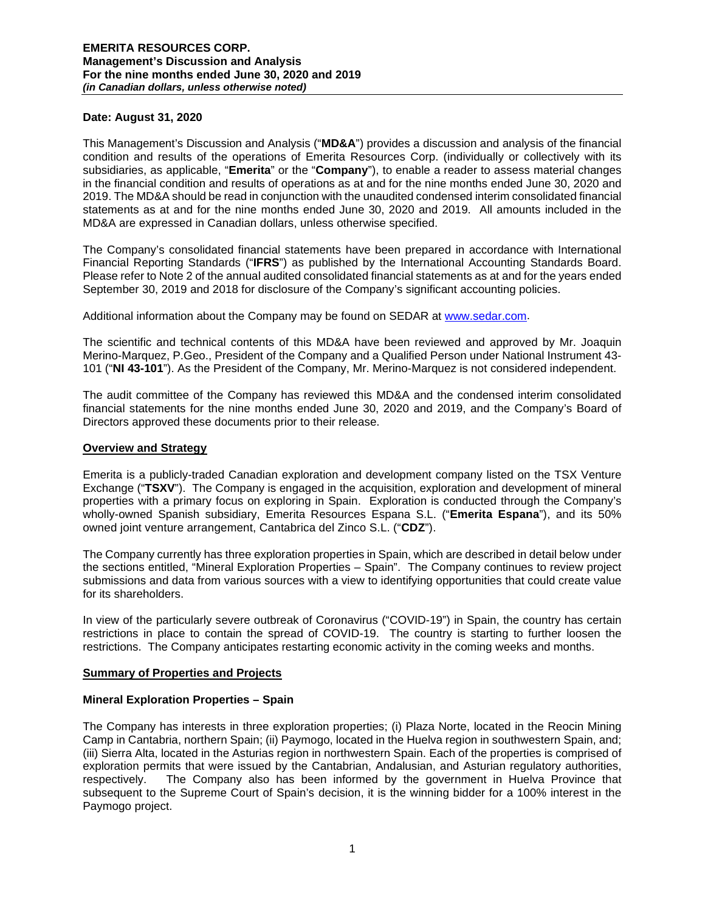### **Date: August 31, 2020**

This Management's Discussion and Analysis ("**MD&A**") provides a discussion and analysis of the financial condition and results of the operations of Emerita Resources Corp. (individually or collectively with its subsidiaries, as applicable, "**Emerita**" or the "**Company**"), to enable a reader to assess material changes in the financial condition and results of operations as at and for the nine months ended June 30, 2020 and 2019. The MD&A should be read in conjunction with the unaudited condensed interim consolidated financial statements as at and for the nine months ended June 30, 2020 and 2019. All amounts included in the MD&A are expressed in Canadian dollars, unless otherwise specified.

The Company's consolidated financial statements have been prepared in accordance with International Financial Reporting Standards ("**IFRS**") as published by the International Accounting Standards Board. Please refer to Note 2 of the annual audited consolidated financial statements as at and for the years ended September 30, 2019 and 2018 for disclosure of the Company's significant accounting policies.

Additional information about the Company may be found on SEDAR at [www.sedar.com.](http://www.sedar.com/)

The scientific and technical contents of this MD&A have been reviewed and approved by Mr. Joaquin Merino-Marquez, P.Geo., President of the Company and a Qualified Person under National Instrument 43- 101 ("**NI 43-101**"). As the President of the Company, Mr. Merino-Marquez is not considered independent.

The audit committee of the Company has reviewed this MD&A and the condensed interim consolidated financial statements for the nine months ended June 30, 2020 and 2019, and the Company's Board of Directors approved these documents prior to their release.

#### **Overview and Strategy**

Emerita is a publicly-traded Canadian exploration and development company listed on the TSX Venture Exchange ("**TSXV**"). The Company is engaged in the acquisition, exploration and development of mineral properties with a primary focus on exploring in Spain. Exploration is conducted through the Company's wholly-owned Spanish subsidiary, Emerita Resources Espana S.L. ("**Emerita Espana**"), and its 50% owned joint venture arrangement, Cantabrica del Zinco S.L. ("**CDZ**").

The Company currently has three exploration properties in Spain, which are described in detail below under the sections entitled, "Mineral Exploration Properties – Spain". The Company continues to review project submissions and data from various sources with a view to identifying opportunities that could create value for its shareholders.

In view of the particularly severe outbreak of Coronavirus ("COVID-19") in Spain, the country has certain restrictions in place to contain the spread of COVID-19. The country is starting to further loosen the restrictions. The Company anticipates restarting economic activity in the coming weeks and months.

#### **Summary of Properties and Projects**

## **Mineral Exploration Properties – Spain**

The Company has interests in three exploration properties; (i) Plaza Norte, located in the Reocin Mining Camp in Cantabria, northern Spain; (ii) Paymogo, located in the Huelva region in southwestern Spain, and; (iii) Sierra Alta, located in the Asturias region in northwestern Spain. Each of the properties is comprised of exploration permits that were issued by the Cantabrian, Andalusian, and Asturian regulatory authorities, respectively. The Company also has been informed by the government in Huelva Province that subsequent to the Supreme Court of Spain's decision, it is the winning bidder for a 100% interest in the Paymogo project.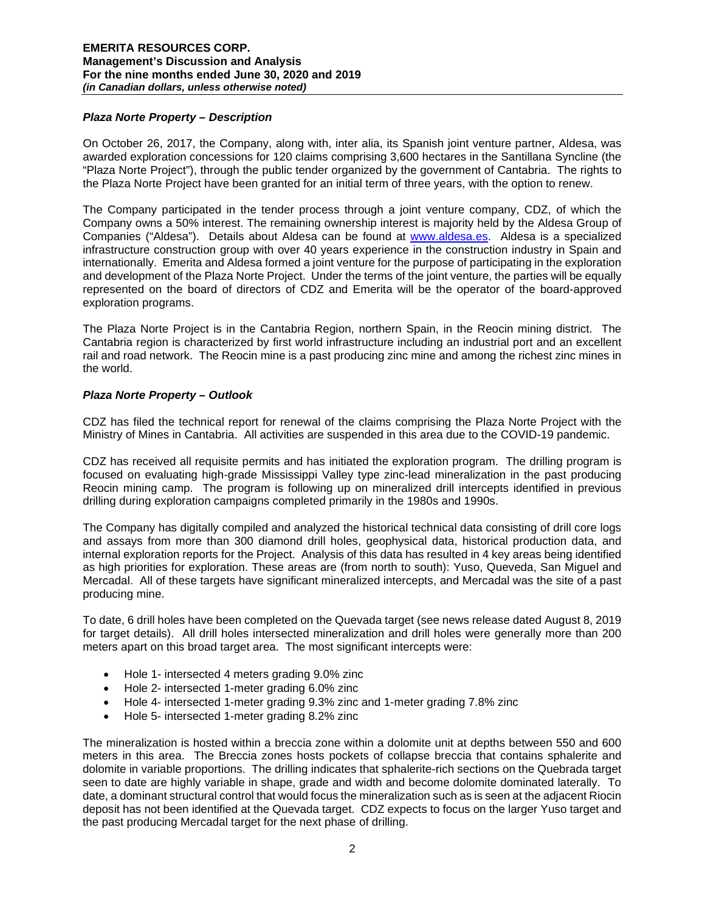## *Plaza Norte Property – Description*

On October 26, 2017, the Company, along with, inter alia, its Spanish joint venture partner, Aldesa, was awarded exploration concessions for 120 claims comprising 3,600 hectares in the Santillana Syncline (the "Plaza Norte Project"), through the public tender organized by the government of Cantabria. The rights to the Plaza Norte Project have been granted for an initial term of three years, with the option to renew.

The Company participated in the tender process through a joint venture company, CDZ, of which the Company owns a 50% interest. The remaining ownership interest is majority held by the Aldesa Group of Companies ("Aldesa"). Details about Aldesa can be found at [www.aldesa.es.](http://www.aldesa.es/) Aldesa is a specialized infrastructure construction group with over 40 years experience in the construction industry in Spain and internationally. Emerita and Aldesa formed a joint venture for the purpose of participating in the exploration and development of the Plaza Norte Project. Under the terms of the joint venture, the parties will be equally represented on the board of directors of CDZ and Emerita will be the operator of the board-approved exploration programs.

The Plaza Norte Project is in the Cantabria Region, northern Spain, in the Reocin mining district. The Cantabria region is characterized by first world infrastructure including an industrial port and an excellent rail and road network. The Reocin mine is a past producing zinc mine and among the richest zinc mines in the world.

# *Plaza Norte Property – Outlook*

CDZ has filed the technical report for renewal of the claims comprising the Plaza Norte Project with the Ministry of Mines in Cantabria. All activities are suspended in this area due to the COVID-19 pandemic.

CDZ has received all requisite permits and has initiated the exploration program. The drilling program is focused on evaluating high-grade Mississippi Valley type zinc-lead mineralization in the past producing Reocin mining camp. The program is following up on mineralized drill intercepts identified in previous drilling during exploration campaigns completed primarily in the 1980s and 1990s.

The Company has digitally compiled and analyzed the historical technical data consisting of drill core logs and assays from more than 300 diamond drill holes, geophysical data, historical production data, and internal exploration reports for the Project. Analysis of this data has resulted in 4 key areas being identified as high priorities for exploration. These areas are (from north to south): Yuso, Queveda, San Miguel and Mercadal. All of these targets have significant mineralized intercepts, and Mercadal was the site of a past producing mine.

To date, 6 drill holes have been completed on the Quevada target (see news release dated August 8, 2019 for target details). All drill holes intersected mineralization and drill holes were generally more than 200 meters apart on this broad target area. The most significant intercepts were:

- Hole 1- intersected 4 meters grading 9.0% zinc
- Hole 2- intersected 1-meter grading 6.0% zinc
- Hole 4- intersected 1-meter grading 9.3% zinc and 1-meter grading 7.8% zinc
- Hole 5- intersected 1-meter grading 8.2% zinc

The mineralization is hosted within a breccia zone within a dolomite unit at depths between 550 and 600 meters in this area. The Breccia zones hosts pockets of collapse breccia that contains sphalerite and dolomite in variable proportions. The drilling indicates that sphalerite-rich sections on the Quebrada target seen to date are highly variable in shape, grade and width and become dolomite dominated laterally. To date, a dominant structural control that would focus the mineralization such as is seen at the adjacent Riocin deposit has not been identified at the Quevada target. CDZ expects to focus on the larger Yuso target and the past producing Mercadal target for the next phase of drilling.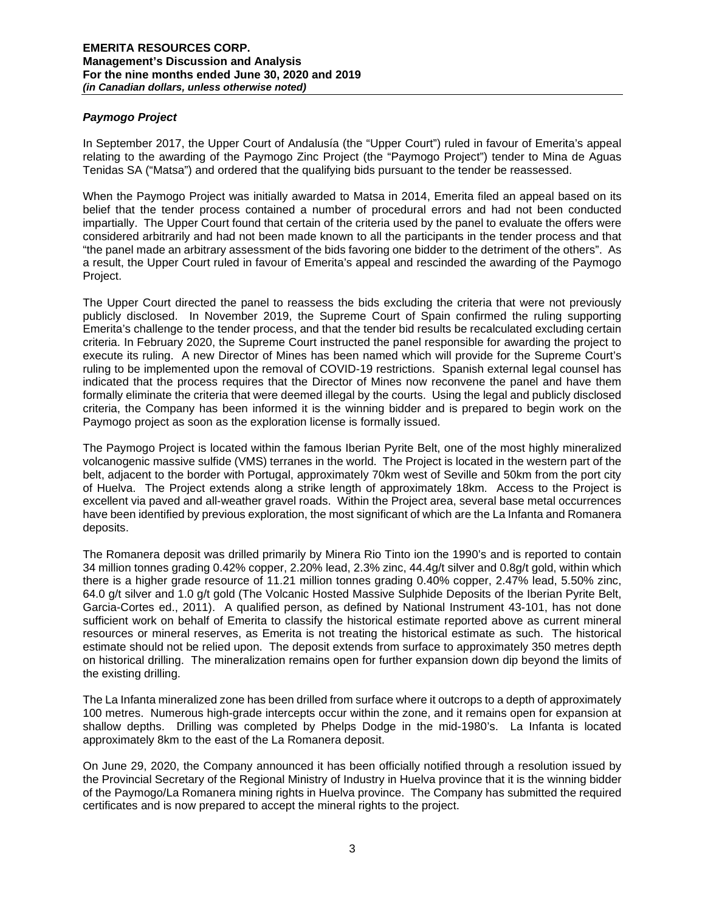# *Paymogo Project*

In September 2017, the Upper Court of Andalusía (the "Upper Court") ruled in favour of Emerita's appeal relating to the awarding of the Paymogo Zinc Project (the "Paymogo Project") tender to Mina de Aguas Tenidas SA ("Matsa") and ordered that the qualifying bids pursuant to the tender be reassessed.

When the Paymogo Project was initially awarded to Matsa in 2014, Emerita filed an appeal based on its belief that the tender process contained a number of procedural errors and had not been conducted impartially. The Upper Court found that certain of the criteria used by the panel to evaluate the offers were considered arbitrarily and had not been made known to all the participants in the tender process and that "the panel made an arbitrary assessment of the bids favoring one bidder to the detriment of the others". As a result, the Upper Court ruled in favour of Emerita's appeal and rescinded the awarding of the Paymogo Project.

The Upper Court directed the panel to reassess the bids excluding the criteria that were not previously publicly disclosed. In November 2019, the Supreme Court of Spain confirmed the ruling supporting Emerita's challenge to the tender process, and that the tender bid results be recalculated excluding certain criteria. In February 2020, the Supreme Court instructed the panel responsible for awarding the project to execute its ruling. A new Director of Mines has been named which will provide for the Supreme Court's ruling to be implemented upon the removal of COVID-19 restrictions. Spanish external legal counsel has indicated that the process requires that the Director of Mines now reconvene the panel and have them formally eliminate the criteria that were deemed illegal by the courts. Using the legal and publicly disclosed criteria, the Company has been informed it is the winning bidder and is prepared to begin work on the Paymogo project as soon as the exploration license is formally issued.

The Paymogo Project is located within the famous Iberian Pyrite Belt, one of the most highly mineralized volcanogenic massive sulfide (VMS) terranes in the world. The Project is located in the western part of the belt, adjacent to the border with Portugal, approximately 70km west of Seville and 50km from the port city of Huelva. The Project extends along a strike length of approximately 18km. Access to the Project is excellent via paved and all-weather gravel roads. Within the Project area, several base metal occurrences have been identified by previous exploration, the most significant of which are the La Infanta and Romanera deposits.

The Romanera deposit was drilled primarily by Minera Rio Tinto ion the 1990's and is reported to contain 34 million tonnes grading 0.42% copper, 2.20% lead, 2.3% zinc, 44.4g/t silver and 0.8g/t gold, within which there is a higher grade resource of 11.21 million tonnes grading 0.40% copper, 2.47% lead, 5.50% zinc, 64.0 g/t silver and 1.0 g/t gold (The Volcanic Hosted Massive Sulphide Deposits of the Iberian Pyrite Belt, Garcia-Cortes ed., 2011). A qualified person, as defined by National Instrument 43-101, has not done sufficient work on behalf of Emerita to classify the historical estimate reported above as current mineral resources or mineral reserves, as Emerita is not treating the historical estimate as such. The historical estimate should not be relied upon. The deposit extends from surface to approximately 350 metres depth on historical drilling. The mineralization remains open for further expansion down dip beyond the limits of the existing drilling.

The La Infanta mineralized zone has been drilled from surface where it outcrops to a depth of approximately 100 metres. Numerous high-grade intercepts occur within the zone, and it remains open for expansion at shallow depths. Drilling was completed by Phelps Dodge in the mid-1980's. La Infanta is located approximately 8km to the east of the La Romanera deposit.

On June 29, 2020, the Company announced it has been officially notified through a resolution issued by the Provincial Secretary of the Regional Ministry of Industry in Huelva province that it is the winning bidder of the Paymogo/La Romanera mining rights in Huelva province. The Company has submitted the required certificates and is now prepared to accept the mineral rights to the project.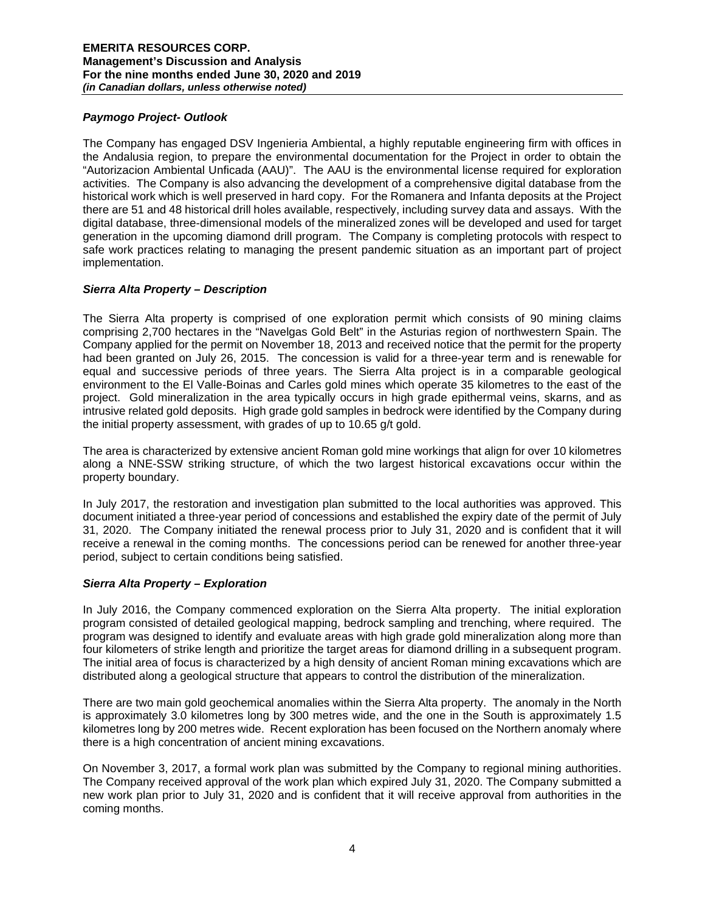## *Paymogo Project- Outlook*

The Company has engaged DSV Ingenieria Ambiental, a highly reputable engineering firm with offices in the Andalusia region, to prepare the environmental documentation for the Project in order to obtain the "Autorizacion Ambiental Unficada (AAU)". The AAU is the environmental license required for exploration activities. The Company is also advancing the development of a comprehensive digital database from the historical work which is well preserved in hard copy. For the Romanera and Infanta deposits at the Project there are 51 and 48 historical drill holes available, respectively, including survey data and assays. With the digital database, three-dimensional models of the mineralized zones will be developed and used for target generation in the upcoming diamond drill program. The Company is completing protocols with respect to safe work practices relating to managing the present pandemic situation as an important part of project implementation.

# *Sierra Alta Property – Description*

The Sierra Alta property is comprised of one exploration permit which consists of 90 mining claims comprising 2,700 hectares in the "Navelgas Gold Belt" in the Asturias region of northwestern Spain. The Company applied for the permit on November 18, 2013 and received notice that the permit for the property had been granted on July 26, 2015. The concession is valid for a three-year term and is renewable for equal and successive periods of three years. The Sierra Alta project is in a comparable geological environment to the El Valle-Boinas and Carles gold mines which operate 35 kilometres to the east of the project. Gold mineralization in the area typically occurs in high grade epithermal veins, skarns, and as intrusive related gold deposits. High grade gold samples in bedrock were identified by the Company during the initial property assessment, with grades of up to 10.65 g/t gold.

The area is characterized by extensive ancient Roman gold mine workings that align for over 10 kilometres along a NNE-SSW striking structure, of which the two largest historical excavations occur within the property boundary.

In July 2017, the restoration and investigation plan submitted to the local authorities was approved. This document initiated a three-year period of concessions and established the expiry date of the permit of July 31, 2020. The Company initiated the renewal process prior to July 31, 2020 and is confident that it will receive a renewal in the coming months. The concessions period can be renewed for another three-year period, subject to certain conditions being satisfied.

## *Sierra Alta Property – Exploration*

In July 2016, the Company commenced exploration on the Sierra Alta property. The initial exploration program consisted of detailed geological mapping, bedrock sampling and trenching, where required. The program was designed to identify and evaluate areas with high grade gold mineralization along more than four kilometers of strike length and prioritize the target areas for diamond drilling in a subsequent program. The initial area of focus is characterized by a high density of ancient Roman mining excavations which are distributed along a geological structure that appears to control the distribution of the mineralization.

There are two main gold geochemical anomalies within the Sierra Alta property. The anomaly in the North is approximately 3.0 kilometres long by 300 metres wide, and the one in the South is approximately 1.5 kilometres long by 200 metres wide. Recent exploration has been focused on the Northern anomaly where there is a high concentration of ancient mining excavations.

On November 3, 2017, a formal work plan was submitted by the Company to regional mining authorities. The Company received approval of the work plan which expired July 31, 2020. The Company submitted a new work plan prior to July 31, 2020 and is confident that it will receive approval from authorities in the coming months.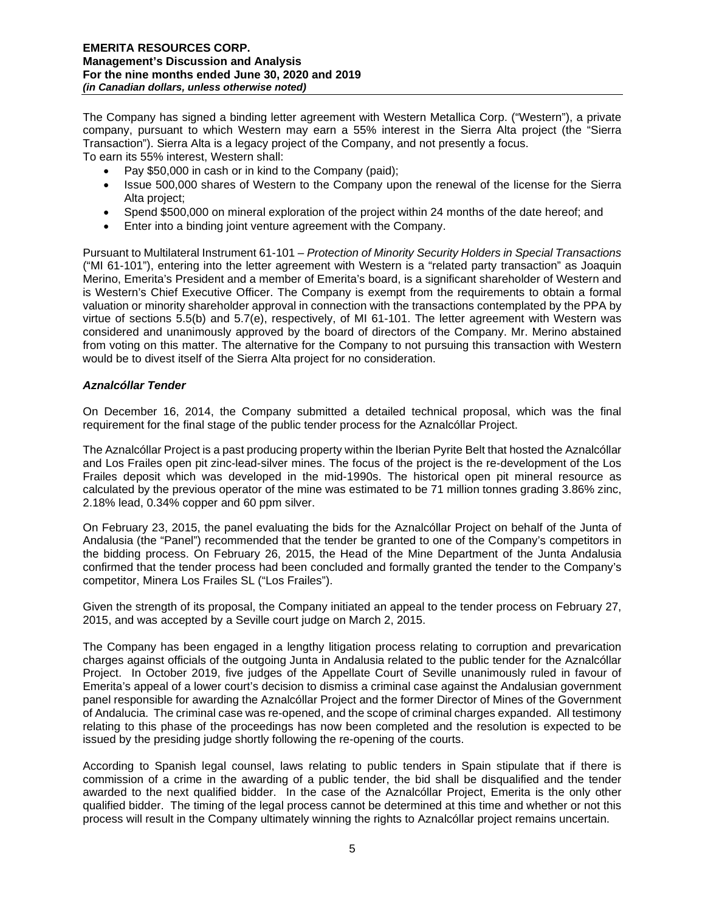The Company has signed a binding letter agreement with Western Metallica Corp. ("Western"), a private company, pursuant to which Western may earn a 55% interest in the Sierra Alta project (the "Sierra Transaction"). Sierra Alta is a legacy project of the Company, and not presently a focus. To earn its 55% interest, Western shall:

- Pay \$50,000 in cash or in kind to the Company (paid);
- Issue 500,000 shares of Western to the Company upon the renewal of the license for the Sierra Alta project;
- Spend \$500,000 on mineral exploration of the project within 24 months of the date hereof; and
- Enter into a binding joint venture agreement with the Company.

Pursuant to Multilateral Instrument 61-101 – *Protection of Minority Security Holders in Special Transactions*  ("MI 61-101"), entering into the letter agreement with Western is a "related party transaction" as Joaquin Merino, Emerita's President and a member of Emerita's board, is a significant shareholder of Western and is Western's Chief Executive Officer. The Company is exempt from the requirements to obtain a formal valuation or minority shareholder approval in connection with the transactions contemplated by the PPA by virtue of sections 5.5(b) and 5.7(e), respectively, of MI 61-101. The letter agreement with Western was considered and unanimously approved by the board of directors of the Company. Mr. Merino abstained from voting on this matter. The alternative for the Company to not pursuing this transaction with Western would be to divest itself of the Sierra Alta project for no consideration.

## *Aznalcóllar Tender*

On December 16, 2014, the Company submitted a detailed technical proposal, which was the final requirement for the final stage of the public tender process for the Aznalcóllar Project.

The Aznalcóllar Project is a past producing property within the Iberian Pyrite Belt that hosted the Aznalcóllar and Los Frailes open pit zinc-lead-silver mines. The focus of the project is the re-development of the Los Frailes deposit which was developed in the mid-1990s. The historical open pit mineral resource as calculated by the previous operator of the mine was estimated to be 71 million tonnes grading 3.86% zinc, 2.18% lead, 0.34% copper and 60 ppm silver.

On February 23, 2015, the panel evaluating the bids for the Aznalcóllar Project on behalf of the Junta of Andalusia (the "Panel") recommended that the tender be granted to one of the Company's competitors in the bidding process. On February 26, 2015, the Head of the Mine Department of the Junta Andalusia confirmed that the tender process had been concluded and formally granted the tender to the Company's competitor, Minera Los Frailes SL ("Los Frailes").

Given the strength of its proposal, the Company initiated an appeal to the tender process on February 27, 2015, and was accepted by a Seville court judge on March 2, 2015.

The Company has been engaged in a lengthy litigation process relating to corruption and prevarication charges against officials of the outgoing Junta in Andalusia related to the public tender for the Aznalcóllar Project. In October 2019, five judges of the Appellate Court of Seville unanimously ruled in favour of Emerita's appeal of a lower court's decision to dismiss a criminal case against the Andalusian government panel responsible for awarding the Aznalcóllar Project and the former Director of Mines of the Government of Andalucia. The criminal case was re-opened, and the scope of criminal charges expanded. All testimony relating to this phase of the proceedings has now been completed and the resolution is expected to be issued by the presiding judge shortly following the re-opening of the courts.

According to Spanish legal counsel, laws relating to public tenders in Spain stipulate that if there is commission of a crime in the awarding of a public tender, the bid shall be disqualified and the tender awarded to the next qualified bidder. In the case of the Aznalcóllar Project, Emerita is the only other qualified bidder. The timing of the legal process cannot be determined at this time and whether or not this process will result in the Company ultimately winning the rights to Aznalcóllar project remains uncertain.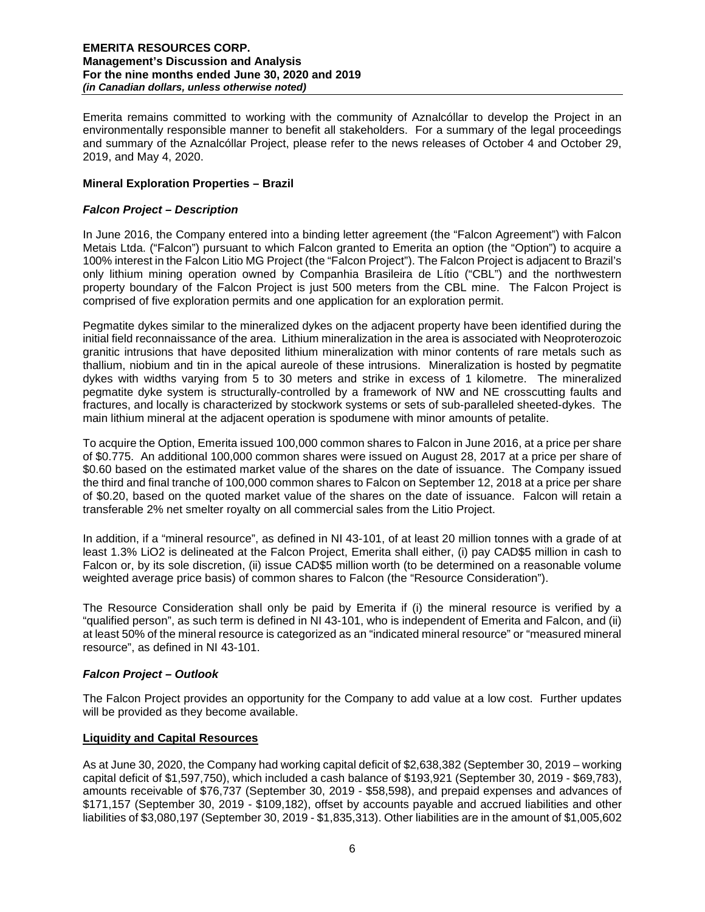Emerita remains committed to working with the community of Aznalcóllar to develop the Project in an environmentally responsible manner to benefit all stakeholders. For a summary of the legal proceedings and summary of the Aznalcóllar Project, please refer to the news releases of October 4 and October 29, 2019, and May 4, 2020.

# **Mineral Exploration Properties – Brazil**

# *Falcon Project – Description*

In June 2016, the Company entered into a binding letter agreement (the "Falcon Agreement") with Falcon Metais Ltda. ("Falcon") pursuant to which Falcon granted to Emerita an option (the "Option") to acquire a 100% interest in the Falcon Litio MG Project (the "Falcon Project"). The Falcon Project is adjacent to Brazil's only lithium mining operation owned by Companhia Brasileira de Lítio ("CBL") and the northwestern property boundary of the Falcon Project is just 500 meters from the CBL mine. The Falcon Project is comprised of five exploration permits and one application for an exploration permit.

Pegmatite dykes similar to the mineralized dykes on the adjacent property have been identified during the initial field reconnaissance of the area. Lithium mineralization in the area is associated with Neoproterozoic granitic intrusions that have deposited lithium mineralization with minor contents of rare metals such as thallium, niobium and tin in the apical aureole of these intrusions. Mineralization is hosted by pegmatite dykes with widths varying from 5 to 30 meters and strike in excess of 1 kilometre. The mineralized pegmatite dyke system is structurally-controlled by a framework of NW and NE crosscutting faults and fractures, and locally is characterized by stockwork systems or sets of sub-paralleled sheeted-dykes. The main lithium mineral at the adjacent operation is spodumene with minor amounts of petalite.

To acquire the Option, Emerita issued 100,000 common shares to Falcon in June 2016, at a price per share of \$0.775. An additional 100,000 common shares were issued on August 28, 2017 at a price per share of \$0.60 based on the estimated market value of the shares on the date of issuance. The Company issued the third and final tranche of 100,000 common shares to Falcon on September 12, 2018 at a price per share of \$0.20, based on the quoted market value of the shares on the date of issuance. Falcon will retain a transferable 2% net smelter royalty on all commercial sales from the Litio Project.

In addition, if a "mineral resource", as defined in NI 43-101, of at least 20 million tonnes with a grade of at least 1.3% LiO2 is delineated at the Falcon Project, Emerita shall either, (i) pay CAD\$5 million in cash to Falcon or, by its sole discretion, (ii) issue CAD\$5 million worth (to be determined on a reasonable volume weighted average price basis) of common shares to Falcon (the "Resource Consideration").

The Resource Consideration shall only be paid by Emerita if (i) the mineral resource is verified by a "qualified person", as such term is defined in NI 43-101, who is independent of Emerita and Falcon, and (ii) at least 50% of the mineral resource is categorized as an "indicated mineral resource" or "measured mineral resource", as defined in NI 43-101.

## *Falcon Project – Outlook*

The Falcon Project provides an opportunity for the Company to add value at a low cost. Further updates will be provided as they become available.

## **Liquidity and Capital Resources**

As at June 30, 2020, the Company had working capital deficit of \$2,638,382 (September 30, 2019 – working capital deficit of \$1,597,750), which included a cash balance of \$193,921 (September 30, 2019 - \$69,783), amounts receivable of \$76,737 (September 30, 2019 - \$58,598), and prepaid expenses and advances of \$171,157 (September 30, 2019 - \$109,182), offset by accounts payable and accrued liabilities and other liabilities of \$3,080,197 (September 30, 2019 - \$1,835,313). Other liabilities are in the amount of \$1,005,602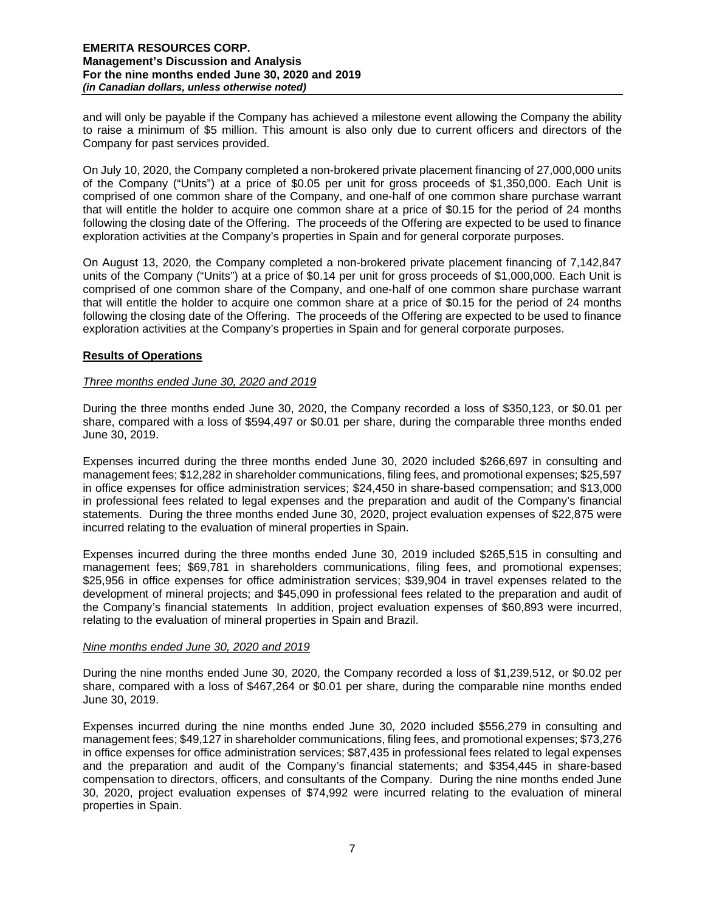and will only be payable if the Company has achieved a milestone event allowing the Company the ability to raise a minimum of \$5 million. This amount is also only due to current officers and directors of the Company for past services provided.

On July 10, 2020, the Company completed a non-brokered private placement financing of 27,000,000 units of the Company ("Units") at a price of \$0.05 per unit for gross proceeds of \$1,350,000. Each Unit is comprised of one common share of the Company, and one-half of one common share purchase warrant that will entitle the holder to acquire one common share at a price of \$0.15 for the period of 24 months following the closing date of the Offering. The proceeds of the Offering are expected to be used to finance exploration activities at the Company's properties in Spain and for general corporate purposes.

On August 13, 2020, the Company completed a non-brokered private placement financing of 7,142,847 units of the Company ("Units") at a price of \$0.14 per unit for gross proceeds of \$1,000,000. Each Unit is comprised of one common share of the Company, and one-half of one common share purchase warrant that will entitle the holder to acquire one common share at a price of \$0.15 for the period of 24 months following the closing date of the Offering. The proceeds of the Offering are expected to be used to finance exploration activities at the Company's properties in Spain and for general corporate purposes.

# **Results of Operations**

# *Three months ended June 30, 2020 and 2019*

During the three months ended June 30, 2020, the Company recorded a loss of \$350,123, or \$0.01 per share, compared with a loss of \$594,497 or \$0.01 per share, during the comparable three months ended June 30, 2019.

Expenses incurred during the three months ended June 30, 2020 included \$266,697 in consulting and management fees; \$12,282 in shareholder communications, filing fees, and promotional expenses; \$25,597 in office expenses for office administration services; \$24,450 in share-based compensation; and \$13,000 in professional fees related to legal expenses and the preparation and audit of the Company's financial statements. During the three months ended June 30, 2020, project evaluation expenses of \$22,875 were incurred relating to the evaluation of mineral properties in Spain.

Expenses incurred during the three months ended June 30, 2019 included \$265,515 in consulting and management fees; \$69,781 in shareholders communications, filing fees, and promotional expenses; \$25,956 in office expenses for office administration services; \$39,904 in travel expenses related to the development of mineral projects; and \$45,090 in professional fees related to the preparation and audit of the Company's financial statements In addition, project evaluation expenses of \$60,893 were incurred, relating to the evaluation of mineral properties in Spain and Brazil.

## *Nine months ended June 30, 2020 and 2019*

During the nine months ended June 30, 2020, the Company recorded a loss of \$1,239,512, or \$0.02 per share, compared with a loss of \$467,264 or \$0.01 per share, during the comparable nine months ended June 30, 2019.

Expenses incurred during the nine months ended June 30, 2020 included \$556,279 in consulting and management fees; \$49,127 in shareholder communications, filing fees, and promotional expenses; \$73,276 in office expenses for office administration services; \$87,435 in professional fees related to legal expenses and the preparation and audit of the Company's financial statements; and \$354,445 in share-based compensation to directors, officers, and consultants of the Company. During the nine months ended June 30, 2020, project evaluation expenses of \$74,992 were incurred relating to the evaluation of mineral properties in Spain.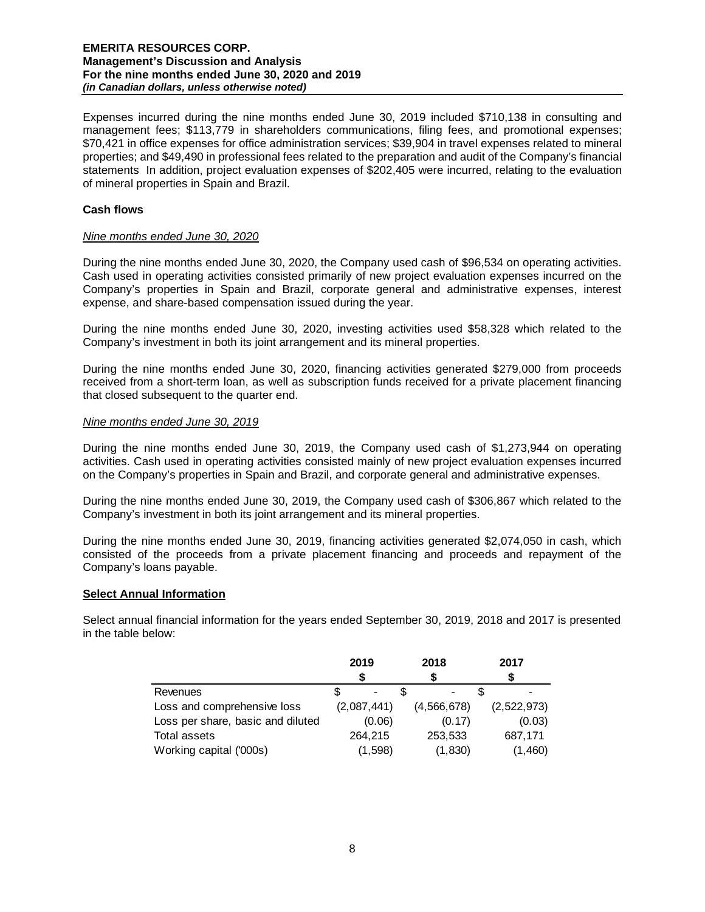Expenses incurred during the nine months ended June 30, 2019 included \$710,138 in consulting and management fees; \$113,779 in shareholders communications, filing fees, and promotional expenses; \$70,421 in office expenses for office administration services; \$39,904 in travel expenses related to mineral properties; and \$49,490 in professional fees related to the preparation and audit of the Company's financial statements In addition, project evaluation expenses of \$202,405 were incurred, relating to the evaluation of mineral properties in Spain and Brazil.

## **Cash flows**

## *Nine months ended June 30, 2020*

During the nine months ended June 30, 2020, the Company used cash of \$96,534 on operating activities. Cash used in operating activities consisted primarily of new project evaluation expenses incurred on the Company's properties in Spain and Brazil, corporate general and administrative expenses, interest expense, and share-based compensation issued during the year.

During the nine months ended June 30, 2020, investing activities used \$58,328 which related to the Company's investment in both its joint arrangement and its mineral properties.

During the nine months ended June 30, 2020, financing activities generated \$279,000 from proceeds received from a short-term loan, as well as subscription funds received for a private placement financing that closed subsequent to the quarter end.

### *Nine months ended June 30, 2019*

During the nine months ended June 30, 2019, the Company used cash of \$1,273,944 on operating activities. Cash used in operating activities consisted mainly of new project evaluation expenses incurred on the Company's properties in Spain and Brazil, and corporate general and administrative expenses.

During the nine months ended June 30, 2019, the Company used cash of \$306,867 which related to the Company's investment in both its joint arrangement and its mineral properties.

During the nine months ended June 30, 2019, financing activities generated \$2,074,050 in cash, which consisted of the proceeds from a private placement financing and proceeds and repayment of the Company's loans payable.

## **Select Annual Information**

Select annual financial information for the years ended September 30, 2019, 2018 and 2017 is presented in the table below:

|                                   | 2019        | 2018                         | 2017        |  |  |
|-----------------------------------|-------------|------------------------------|-------------|--|--|
|                                   |             | S                            |             |  |  |
| <b>Revenues</b>                   |             | $\qquad \qquad \blacksquare$ |             |  |  |
| Loss and comprehensive loss       | (2,087,441) | (4,566,678)                  | (2,522,973) |  |  |
| Loss per share, basic and diluted | (0.06)      | (0.17)                       | (0.03)      |  |  |
| Total assets                      | 264.215     | 253,533                      | 687,171     |  |  |
| Working capital ('000s)           | (1,598)     | (1,830)                      | (1,460)     |  |  |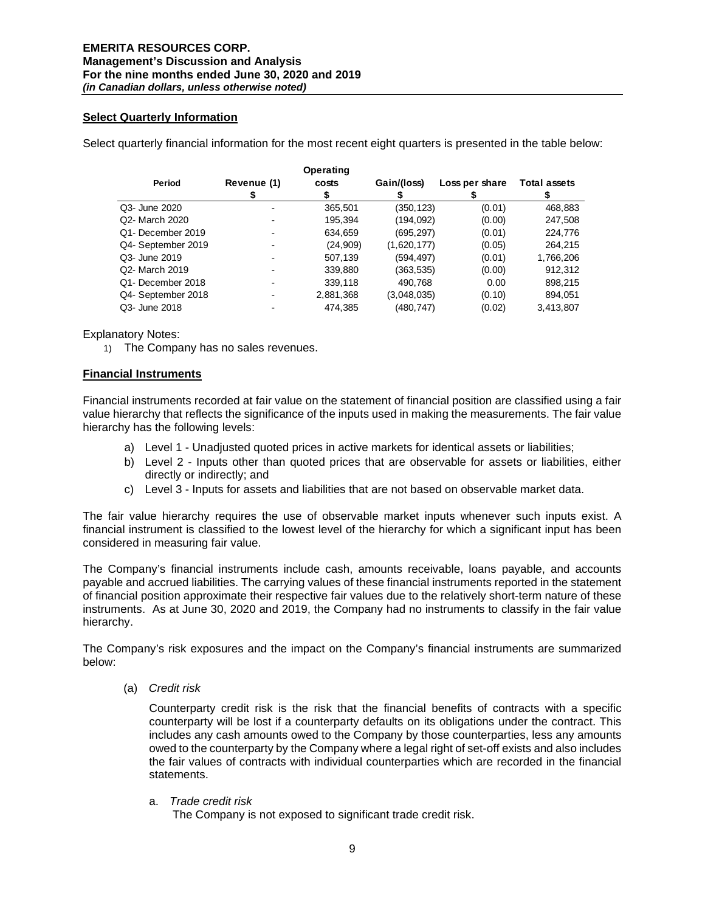## **Select Quarterly Information**

Select quarterly financial information for the most recent eight quarters is presented in the table below:

|                    |             | Operating |             |                |                     |
|--------------------|-------------|-----------|-------------|----------------|---------------------|
| Period             | Revenue (1) | costs     | Gain/(loss) | Loss per share | <b>Total assets</b> |
|                    |             |           |             |                |                     |
| Q3- June 2020      |             | 365,501   | (350,123)   | (0.01)         | 468,883             |
| Q2- March 2020     |             | 195.394   | (194,092)   | (0.00)         | 247,508             |
| Q1- December 2019  |             | 634,659   | (695,297)   | (0.01)         | 224,776             |
| Q4- September 2019 |             | (24,909)  | (1,620,177) | (0.05)         | 264,215             |
| Q3- June 2019      |             | 507,139   | (594,497)   | (0.01)         | 1,766,206           |
| Q2- March 2019     |             | 339,880   | (363,535)   | (0.00)         | 912,312             |
| Q1- December 2018  |             | 339,118   | 490,768     | 0.00           | 898,215             |
| Q4- September 2018 |             | 2,881,368 | (3,048,035) | (0.10)         | 894,051             |
| Q3- June 2018      |             | 474.385   | (480,747)   | (0.02)         | 3,413,807           |

Explanatory Notes:

1) The Company has no sales revenues.

## **Financial Instruments**

Financial instruments recorded at fair value on the statement of financial position are classified using a fair value hierarchy that reflects the significance of the inputs used in making the measurements. The fair value hierarchy has the following levels:

- a) Level 1 Unadjusted quoted prices in active markets for identical assets or liabilities;
- b) Level 2 Inputs other than quoted prices that are observable for assets or liabilities, either directly or indirectly; and
- c) Level 3 Inputs for assets and liabilities that are not based on observable market data.

The fair value hierarchy requires the use of observable market inputs whenever such inputs exist. A financial instrument is classified to the lowest level of the hierarchy for which a significant input has been considered in measuring fair value.

The Company's financial instruments include cash, amounts receivable, loans payable, and accounts payable and accrued liabilities. The carrying values of these financial instruments reported in the statement of financial position approximate their respective fair values due to the relatively short-term nature of these instruments. As at June 30, 2020 and 2019, the Company had no instruments to classify in the fair value hierarchy.

The Company's risk exposures and the impact on the Company's financial instruments are summarized below:

(a) *Credit risk* 

Counterparty credit risk is the risk that the financial benefits of contracts with a specific counterparty will be lost if a counterparty defaults on its obligations under the contract. This includes any cash amounts owed to the Company by those counterparties, less any amounts owed to the counterparty by the Company where a legal right of set-off exists and also includes the fair values of contracts with individual counterparties which are recorded in the financial statements.

a. *Trade credit risk*

The Company is not exposed to significant trade credit risk.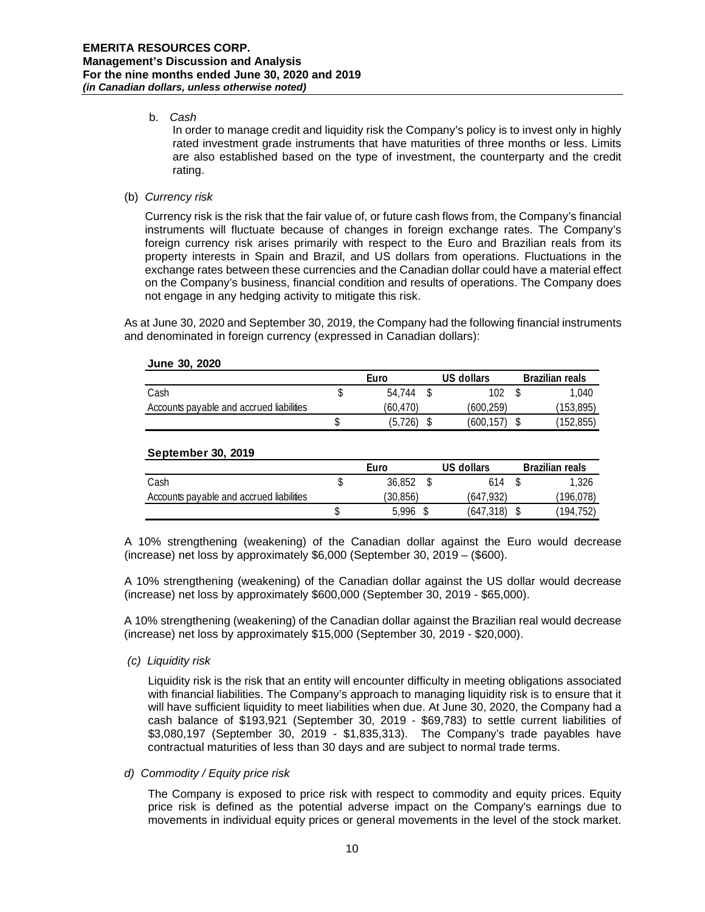# b. *Cash*

In order to manage credit and liquidity risk the Company's policy is to invest only in highly rated investment grade instruments that have maturities of three months or less. Limits are also established based on the type of investment, the counterparty and the credit rating.

## (b) *Currency risk*

Currency risk is the risk that the fair value of, or future cash flows from, the Company's financial instruments will fluctuate because of changes in foreign exchange rates. The Company's foreign currency risk arises primarily with respect to the Euro and Brazilian reals from its property interests in Spain and Brazil, and US dollars from operations. Fluctuations in the exchange rates between these currencies and the Canadian dollar could have a material effect on the Company's business, financial condition and results of operations. The Company does not engage in any hedging activity to mitigate this risk.

As at June 30, 2020 and September 30, 2019, the Company had the following financial instruments and denominated in foreign currency (expressed in Canadian dollars):

### **June 30, 2020**

|                                          | Euro |          |  | US dollars | Brazilian reals |
|------------------------------------------|------|----------|--|------------|-----------------|
| Cash                                     |      | 54.744   |  | 102        | 1.040           |
| Accounts payable and accrued liabilities |      | (60.470) |  | (600.259)  | (153, 895)      |
|                                          |      | (5, 726) |  | (600.157)  | (152, 855)      |

#### **September 30, 2019**

|                                          | Euro |          |  | US dollars | <b>Brazilian reals</b> |
|------------------------------------------|------|----------|--|------------|------------------------|
| Cash                                     |      | 36,852   |  | 614        | 1.326                  |
| Accounts payable and accrued liabilities |      | (30,856) |  | (647.932)  | (196,078)              |
|                                          |      | 5.996    |  | (647.318)  | (194.752)              |

A 10% strengthening (weakening) of the Canadian dollar against the Euro would decrease (increase) net loss by approximately \$6,000 (September 30, 2019 – (\$600).

A 10% strengthening (weakening) of the Canadian dollar against the US dollar would decrease (increase) net loss by approximately \$600,000 (September 30, 2019 - \$65,000).

A 10% strengthening (weakening) of the Canadian dollar against the Brazilian real would decrease (increase) net loss by approximately \$15,000 (September 30, 2019 - \$20,000).

#### *(c) Liquidity risk*

Liquidity risk is the risk that an entity will encounter difficulty in meeting obligations associated with financial liabilities. The Company's approach to managing liquidity risk is to ensure that it will have sufficient liquidity to meet liabilities when due. At June 30, 2020, the Company had a cash balance of \$193,921 (September 30, 2019 - \$69,783) to settle current liabilities of \$3,080,197 (September 30, 2019 - \$1,835,313). The Company's trade payables have contractual maturities of less than 30 days and are subject to normal trade terms.

## *d) Commodity / Equity price risk*

The Company is exposed to price risk with respect to commodity and equity prices. Equity price risk is defined as the potential adverse impact on the Company's earnings due to movements in individual equity prices or general movements in the level of the stock market.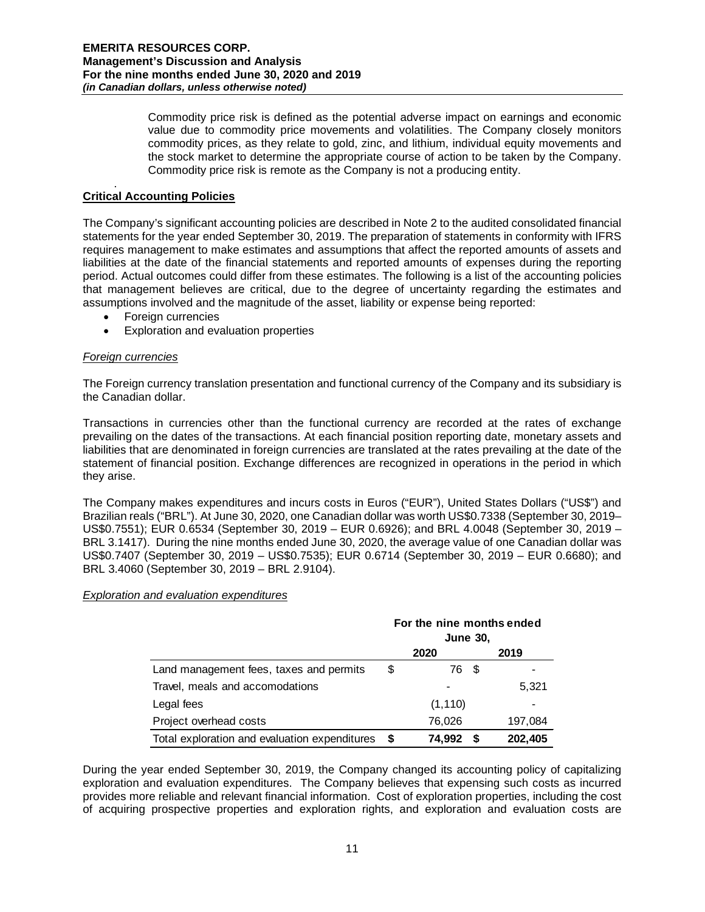Commodity price risk is defined as the potential adverse impact on earnings and economic value due to commodity price movements and volatilities. The Company closely monitors commodity prices, as they relate to gold, zinc, and lithium, individual equity movements and the stock market to determine the appropriate course of action to be taken by the Company. Commodity price risk is remote as the Company is not a producing entity.

#### . **Critical Accounting Policies**

The Company's significant accounting policies are described in Note 2 to the audited consolidated financial statements for the year ended September 30, 2019. The preparation of statements in conformity with IFRS requires management to make estimates and assumptions that affect the reported amounts of assets and liabilities at the date of the financial statements and reported amounts of expenses during the reporting period. Actual outcomes could differ from these estimates. The following is a list of the accounting policies that management believes are critical, due to the degree of uncertainty regarding the estimates and assumptions involved and the magnitude of the asset, liability or expense being reported:

- Foreign currencies
- Exploration and evaluation properties

## *Foreign currencies*

The Foreign currency translation presentation and functional currency of the Company and its subsidiary is the Canadian dollar.

Transactions in currencies other than the functional currency are recorded at the rates of exchange prevailing on the dates of the transactions. At each financial position reporting date, monetary assets and liabilities that are denominated in foreign currencies are translated at the rates prevailing at the date of the statement of financial position. Exchange differences are recognized in operations in the period in which they arise.

The Company makes expenditures and incurs costs in Euros ("EUR"), United States Dollars ("US\$") and Brazilian reals ("BRL"). At June 30, 2020, one Canadian dollar was worth US\$0.7338 (September 30, 2019– US\$0.7551); EUR 0.6534 (September 30, 2019 – EUR 0.6926); and BRL 4.0048 (September 30, 2019 – BRL 3.1417). During the nine months ended June 30, 2020, the average value of one Canadian dollar was US\$0.7407 (September 30, 2019 – US\$0.7535); EUR 0.6714 (September 30, 2019 – EUR 0.6680); and BRL 3.4060 (September 30, 2019 – BRL 2.9104).

## *Exploration and evaluation expenditures*

|                                               | For the nine months ended<br><b>June 30.</b> |             |         |  |  |  |
|-----------------------------------------------|----------------------------------------------|-------------|---------|--|--|--|
|                                               |                                              | 2020        | 2019    |  |  |  |
| Land management fees, taxes and permits       | \$                                           | 76 \$       |         |  |  |  |
| Travel, meals and accomodations               |                                              |             | 5,321   |  |  |  |
| Legal fees                                    |                                              | (1, 110)    |         |  |  |  |
| Project overhead costs                        |                                              | 76,026      | 197,084 |  |  |  |
| Total exploration and evaluation expenditures |                                              | 74,992<br>5 | 202,405 |  |  |  |

During the year ended September 30, 2019, the Company changed its accounting policy of capitalizing exploration and evaluation expenditures. The Company believes that expensing such costs as incurred provides more reliable and relevant financial information. Cost of exploration properties, including the cost of acquiring prospective properties and exploration rights, and exploration and evaluation costs are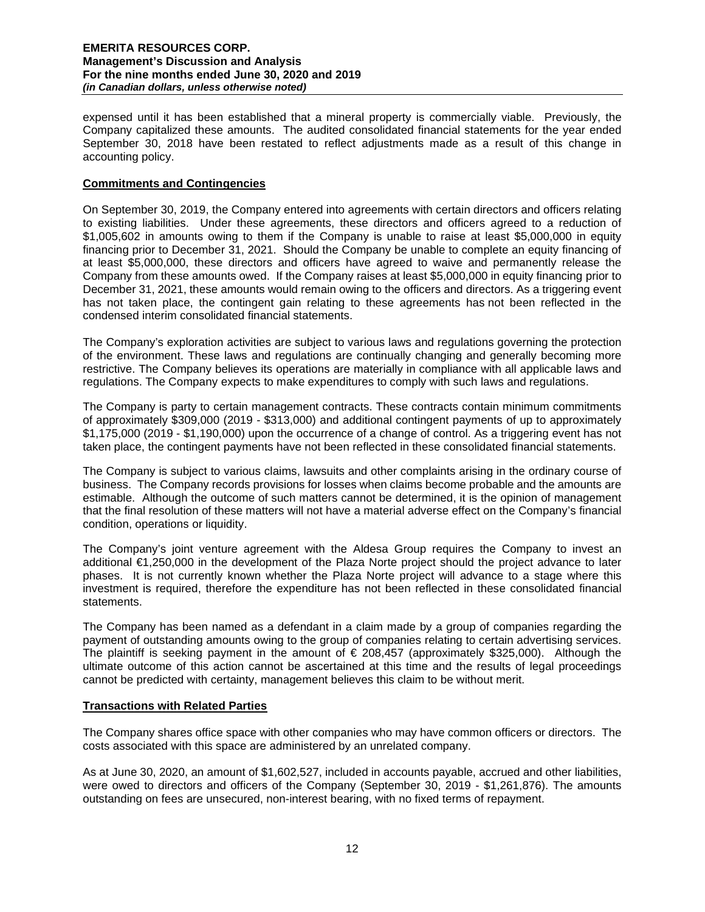expensed until it has been established that a mineral property is commercially viable. Previously, the Company capitalized these amounts. The audited consolidated financial statements for the year ended September 30, 2018 have been restated to reflect adjustments made as a result of this change in accounting policy.

# **Commitments and Contingencies**

On September 30, 2019, the Company entered into agreements with certain directors and officers relating to existing liabilities. Under these agreements, these directors and officers agreed to a reduction of \$1,005,602 in amounts owing to them if the Company is unable to raise at least \$5,000,000 in equity financing prior to December 31, 2021. Should the Company be unable to complete an equity financing of at least \$5,000,000, these directors and officers have agreed to waive and permanently release the Company from these amounts owed. If the Company raises at least \$5,000,000 in equity financing prior to December 31, 2021, these amounts would remain owing to the officers and directors. As a triggering event has not taken place, the contingent gain relating to these agreements has not been reflected in the condensed interim consolidated financial statements.

The Company's exploration activities are subject to various laws and regulations governing the protection of the environment. These laws and regulations are continually changing and generally becoming more restrictive. The Company believes its operations are materially in compliance with all applicable laws and regulations. The Company expects to make expenditures to comply with such laws and regulations.

The Company is party to certain management contracts. These contracts contain minimum commitments of approximately \$309,000 (2019 - \$313,000) and additional contingent payments of up to approximately \$1,175,000 (2019 - \$1,190,000) upon the occurrence of a change of control. As a triggering event has not taken place, the contingent payments have not been reflected in these consolidated financial statements.

The Company is subject to various claims, lawsuits and other complaints arising in the ordinary course of business. The Company records provisions for losses when claims become probable and the amounts are estimable. Although the outcome of such matters cannot be determined, it is the opinion of management that the final resolution of these matters will not have a material adverse effect on the Company's financial condition, operations or liquidity.

The Company's joint venture agreement with the Aldesa Group requires the Company to invest an additional €1,250,000 in the development of the Plaza Norte project should the project advance to later phases. It is not currently known whether the Plaza Norte project will advance to a stage where this investment is required, therefore the expenditure has not been reflected in these consolidated financial statements.

The Company has been named as a defendant in a claim made by a group of companies regarding the payment of outstanding amounts owing to the group of companies relating to certain advertising services. The plaintiff is seeking payment in the amount of  $\epsilon$  208,457 (approximately \$325,000). Although the ultimate outcome of this action cannot be ascertained at this time and the results of legal proceedings cannot be predicted with certainty, management believes this claim to be without merit.

## **Transactions with Related Parties**

The Company shares office space with other companies who may have common officers or directors. The costs associated with this space are administered by an unrelated company.

As at June 30, 2020, an amount of \$1,602,527, included in accounts payable, accrued and other liabilities, were owed to directors and officers of the Company (September 30, 2019 - \$1,261,876). The amounts outstanding on fees are unsecured, non-interest bearing, with no fixed terms of repayment.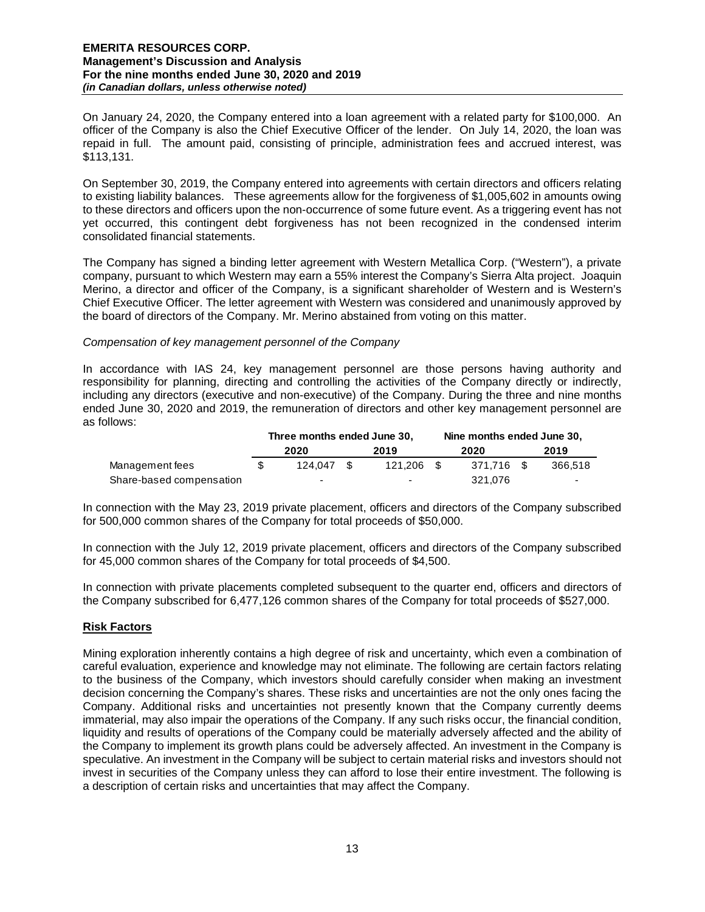On January 24, 2020, the Company entered into a loan agreement with a related party for \$100,000. An officer of the Company is also the Chief Executive Officer of the lender. On July 14, 2020, the loan was repaid in full. The amount paid, consisting of principle, administration fees and accrued interest, was \$113,131.

On September 30, 2019, the Company entered into agreements with certain directors and officers relating to existing liability balances. These agreements allow for the forgiveness of \$1,005,602 in amounts owing to these directors and officers upon the non-occurrence of some future event. As a triggering event has not yet occurred, this contingent debt forgiveness has not been recognized in the condensed interim consolidated financial statements.

The Company has signed a binding letter agreement with Western Metallica Corp. ("Western"), a private company, pursuant to which Western may earn a 55% interest the Company's Sierra Alta project. Joaquin Merino, a director and officer of the Company, is a significant shareholder of Western and is Western's Chief Executive Officer. The letter agreement with Western was considered and unanimously approved by the board of directors of the Company. Mr. Merino abstained from voting on this matter.

## *Compensation of key management personnel of the Company*

In accordance with IAS 24, key management personnel are those persons having authority and responsibility for planning, directing and controlling the activities of the Company directly or indirectly, including any directors (executive and non-executive) of the Company. During the three and nine months ended June 30, 2020 and 2019, the remuneration of directors and other key management personnel are as follows:

|                          | Three months ended June 30. |                          |  |                          | Nine months ended June 30, |            |  |                          |
|--------------------------|-----------------------------|--------------------------|--|--------------------------|----------------------------|------------|--|--------------------------|
|                          |                             | 2020                     |  | 2019                     |                            | 2020       |  | 2019                     |
| Management fees          |                             | 124.047                  |  | 121.206 \$               |                            | 371.716 \$ |  | 366.518                  |
| Share-based compensation |                             | $\overline{\phantom{0}}$ |  | $\overline{\phantom{0}}$ |                            | 321.076    |  | $\overline{\phantom{0}}$ |

In connection with the May 23, 2019 private placement, officers and directors of the Company subscribed for 500,000 common shares of the Company for total proceeds of \$50,000.

In connection with the July 12, 2019 private placement, officers and directors of the Company subscribed for 45,000 common shares of the Company for total proceeds of \$4,500.

In connection with private placements completed subsequent to the quarter end, officers and directors of the Company subscribed for 6,477,126 common shares of the Company for total proceeds of \$527,000.

## **Risk Factors**

Mining exploration inherently contains a high degree of risk and uncertainty, which even a combination of careful evaluation, experience and knowledge may not eliminate. The following are certain factors relating to the business of the Company, which investors should carefully consider when making an investment decision concerning the Company's shares. These risks and uncertainties are not the only ones facing the Company. Additional risks and uncertainties not presently known that the Company currently deems immaterial, may also impair the operations of the Company. If any such risks occur, the financial condition, liquidity and results of operations of the Company could be materially adversely affected and the ability of the Company to implement its growth plans could be adversely affected. An investment in the Company is speculative. An investment in the Company will be subject to certain material risks and investors should not invest in securities of the Company unless they can afford to lose their entire investment. The following is a description of certain risks and uncertainties that may affect the Company.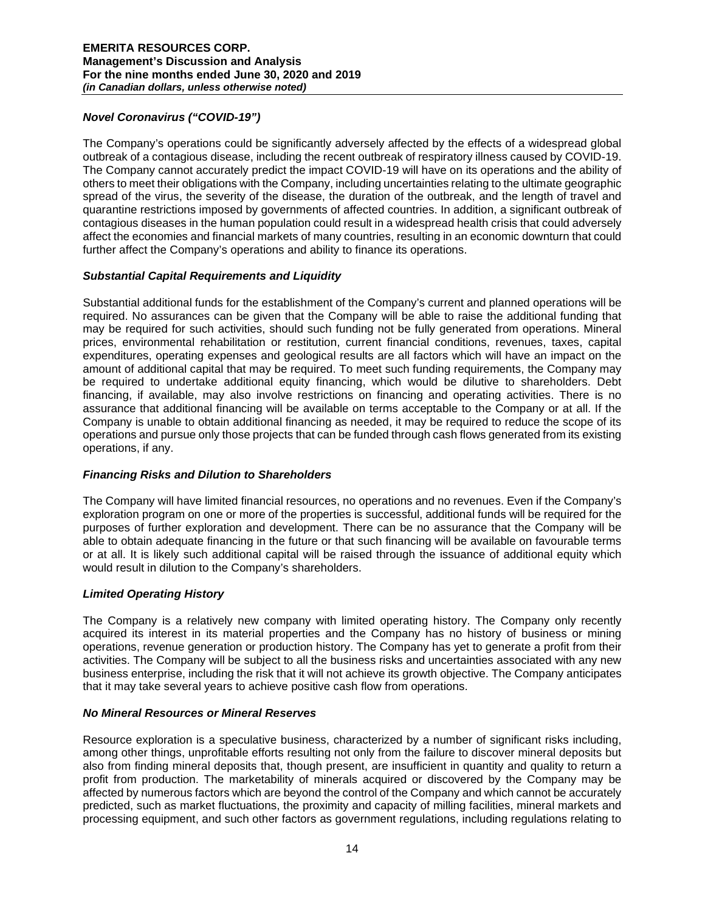# *Novel Coronavirus ("COVID-19")*

The Company's operations could be significantly adversely affected by the effects of a widespread global outbreak of a contagious disease, including the recent outbreak of respiratory illness caused by COVID-19. The Company cannot accurately predict the impact COVID-19 will have on its operations and the ability of others to meet their obligations with the Company, including uncertainties relating to the ultimate geographic spread of the virus, the severity of the disease, the duration of the outbreak, and the length of travel and quarantine restrictions imposed by governments of affected countries. In addition, a significant outbreak of contagious diseases in the human population could result in a widespread health crisis that could adversely affect the economies and financial markets of many countries, resulting in an economic downturn that could further affect the Company's operations and ability to finance its operations.

# *Substantial Capital Requirements and Liquidity*

Substantial additional funds for the establishment of the Company's current and planned operations will be required. No assurances can be given that the Company will be able to raise the additional funding that may be required for such activities, should such funding not be fully generated from operations. Mineral prices, environmental rehabilitation or restitution, current financial conditions, revenues, taxes, capital expenditures, operating expenses and geological results are all factors which will have an impact on the amount of additional capital that may be required. To meet such funding requirements, the Company may be required to undertake additional equity financing, which would be dilutive to shareholders. Debt financing, if available, may also involve restrictions on financing and operating activities. There is no assurance that additional financing will be available on terms acceptable to the Company or at all. If the Company is unable to obtain additional financing as needed, it may be required to reduce the scope of its operations and pursue only those projects that can be funded through cash flows generated from its existing operations, if any.

# *Financing Risks and Dilution to Shareholders*

The Company will have limited financial resources, no operations and no revenues. Even if the Company's exploration program on one or more of the properties is successful, additional funds will be required for the purposes of further exploration and development. There can be no assurance that the Company will be able to obtain adequate financing in the future or that such financing will be available on favourable terms or at all. It is likely such additional capital will be raised through the issuance of additional equity which would result in dilution to the Company's shareholders.

# *Limited Operating History*

The Company is a relatively new company with limited operating history. The Company only recently acquired its interest in its material properties and the Company has no history of business or mining operations, revenue generation or production history. The Company has yet to generate a profit from their activities. The Company will be subject to all the business risks and uncertainties associated with any new business enterprise, including the risk that it will not achieve its growth objective. The Company anticipates that it may take several years to achieve positive cash flow from operations.

## *No Mineral Resources or Mineral Reserves*

Resource exploration is a speculative business, characterized by a number of significant risks including, among other things, unprofitable efforts resulting not only from the failure to discover mineral deposits but also from finding mineral deposits that, though present, are insufficient in quantity and quality to return a profit from production. The marketability of minerals acquired or discovered by the Company may be affected by numerous factors which are beyond the control of the Company and which cannot be accurately predicted, such as market fluctuations, the proximity and capacity of milling facilities, mineral markets and processing equipment, and such other factors as government regulations, including regulations relating to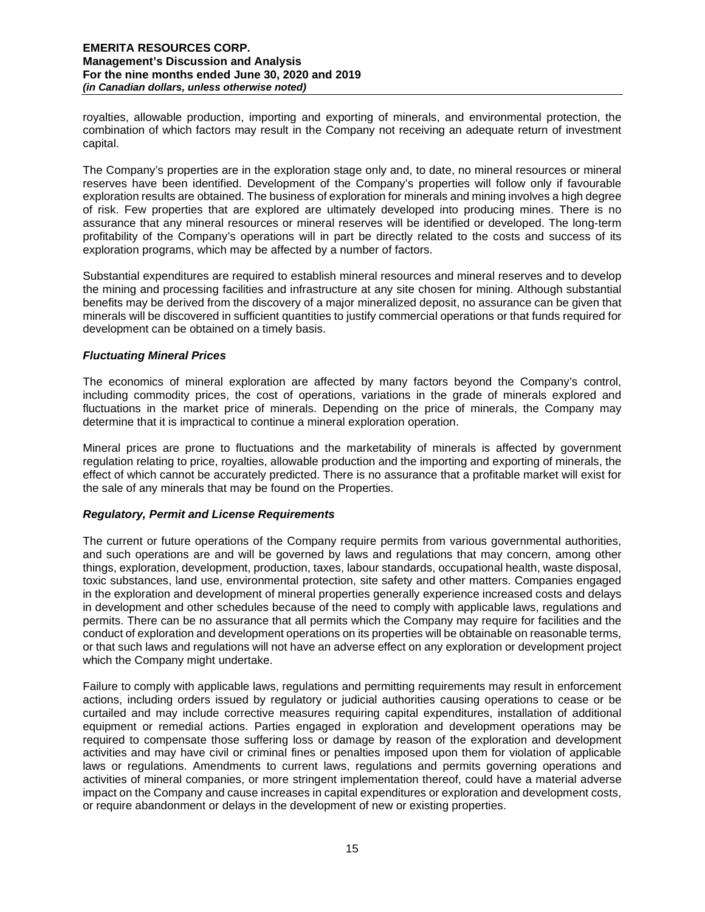royalties, allowable production, importing and exporting of minerals, and environmental protection, the combination of which factors may result in the Company not receiving an adequate return of investment capital.

The Company's properties are in the exploration stage only and, to date, no mineral resources or mineral reserves have been identified. Development of the Company's properties will follow only if favourable exploration results are obtained. The business of exploration for minerals and mining involves a high degree of risk. Few properties that are explored are ultimately developed into producing mines. There is no assurance that any mineral resources or mineral reserves will be identified or developed. The long-term profitability of the Company's operations will in part be directly related to the costs and success of its exploration programs, which may be affected by a number of factors.

Substantial expenditures are required to establish mineral resources and mineral reserves and to develop the mining and processing facilities and infrastructure at any site chosen for mining. Although substantial benefits may be derived from the discovery of a major mineralized deposit, no assurance can be given that minerals will be discovered in sufficient quantities to justify commercial operations or that funds required for development can be obtained on a timely basis.

# *Fluctuating Mineral Prices*

The economics of mineral exploration are affected by many factors beyond the Company's control, including commodity prices, the cost of operations, variations in the grade of minerals explored and fluctuations in the market price of minerals. Depending on the price of minerals, the Company may determine that it is impractical to continue a mineral exploration operation.

Mineral prices are prone to fluctuations and the marketability of minerals is affected by government regulation relating to price, royalties, allowable production and the importing and exporting of minerals, the effect of which cannot be accurately predicted. There is no assurance that a profitable market will exist for the sale of any minerals that may be found on the Properties.

## *Regulatory, Permit and License Requirements*

The current or future operations of the Company require permits from various governmental authorities, and such operations are and will be governed by laws and regulations that may concern, among other things, exploration, development, production, taxes, labour standards, occupational health, waste disposal, toxic substances, land use, environmental protection, site safety and other matters. Companies engaged in the exploration and development of mineral properties generally experience increased costs and delays in development and other schedules because of the need to comply with applicable laws, regulations and permits. There can be no assurance that all permits which the Company may require for facilities and the conduct of exploration and development operations on its properties will be obtainable on reasonable terms, or that such laws and regulations will not have an adverse effect on any exploration or development project which the Company might undertake.

Failure to comply with applicable laws, regulations and permitting requirements may result in enforcement actions, including orders issued by regulatory or judicial authorities causing operations to cease or be curtailed and may include corrective measures requiring capital expenditures, installation of additional equipment or remedial actions. Parties engaged in exploration and development operations may be required to compensate those suffering loss or damage by reason of the exploration and development activities and may have civil or criminal fines or penalties imposed upon them for violation of applicable laws or regulations. Amendments to current laws, regulations and permits governing operations and activities of mineral companies, or more stringent implementation thereof, could have a material adverse impact on the Company and cause increases in capital expenditures or exploration and development costs, or require abandonment or delays in the development of new or existing properties.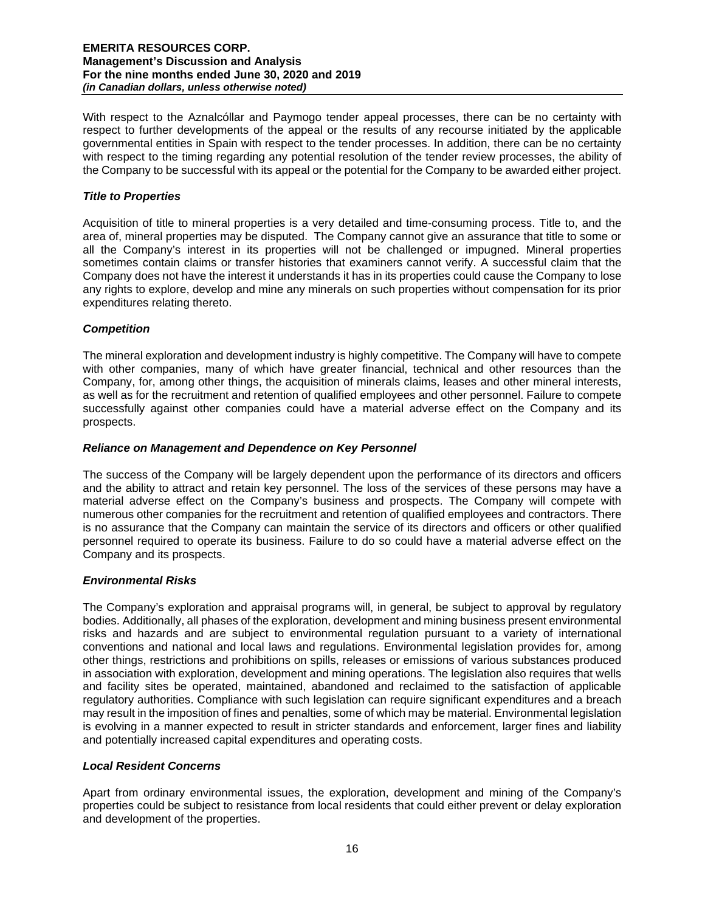With respect to the Aznalcóllar and Paymogo tender appeal processes, there can be no certainty with respect to further developments of the appeal or the results of any recourse initiated by the applicable governmental entities in Spain with respect to the tender processes. In addition, there can be no certainty with respect to the timing regarding any potential resolution of the tender review processes, the ability of the Company to be successful with its appeal or the potential for the Company to be awarded either project.

# *Title to Properties*

Acquisition of title to mineral properties is a very detailed and time-consuming process. Title to, and the area of, mineral properties may be disputed. The Company cannot give an assurance that title to some or all the Company's interest in its properties will not be challenged or impugned. Mineral properties sometimes contain claims or transfer histories that examiners cannot verify. A successful claim that the Company does not have the interest it understands it has in its properties could cause the Company to lose any rights to explore, develop and mine any minerals on such properties without compensation for its prior expenditures relating thereto.

# *Competition*

The mineral exploration and development industry is highly competitive. The Company will have to compete with other companies, many of which have greater financial, technical and other resources than the Company, for, among other things, the acquisition of minerals claims, leases and other mineral interests, as well as for the recruitment and retention of qualified employees and other personnel. Failure to compete successfully against other companies could have a material adverse effect on the Company and its prospects.

## *Reliance on Management and Dependence on Key Personnel*

The success of the Company will be largely dependent upon the performance of its directors and officers and the ability to attract and retain key personnel. The loss of the services of these persons may have a material adverse effect on the Company's business and prospects. The Company will compete with numerous other companies for the recruitment and retention of qualified employees and contractors. There is no assurance that the Company can maintain the service of its directors and officers or other qualified personnel required to operate its business. Failure to do so could have a material adverse effect on the Company and its prospects.

## *Environmental Risks*

The Company's exploration and appraisal programs will, in general, be subject to approval by regulatory bodies. Additionally, all phases of the exploration, development and mining business present environmental risks and hazards and are subject to environmental regulation pursuant to a variety of international conventions and national and local laws and regulations. Environmental legislation provides for, among other things, restrictions and prohibitions on spills, releases or emissions of various substances produced in association with exploration, development and mining operations. The legislation also requires that wells and facility sites be operated, maintained, abandoned and reclaimed to the satisfaction of applicable regulatory authorities. Compliance with such legislation can require significant expenditures and a breach may result in the imposition of fines and penalties, some of which may be material. Environmental legislation is evolving in a manner expected to result in stricter standards and enforcement, larger fines and liability and potentially increased capital expenditures and operating costs.

## *Local Resident Concerns*

Apart from ordinary environmental issues, the exploration, development and mining of the Company's properties could be subject to resistance from local residents that could either prevent or delay exploration and development of the properties.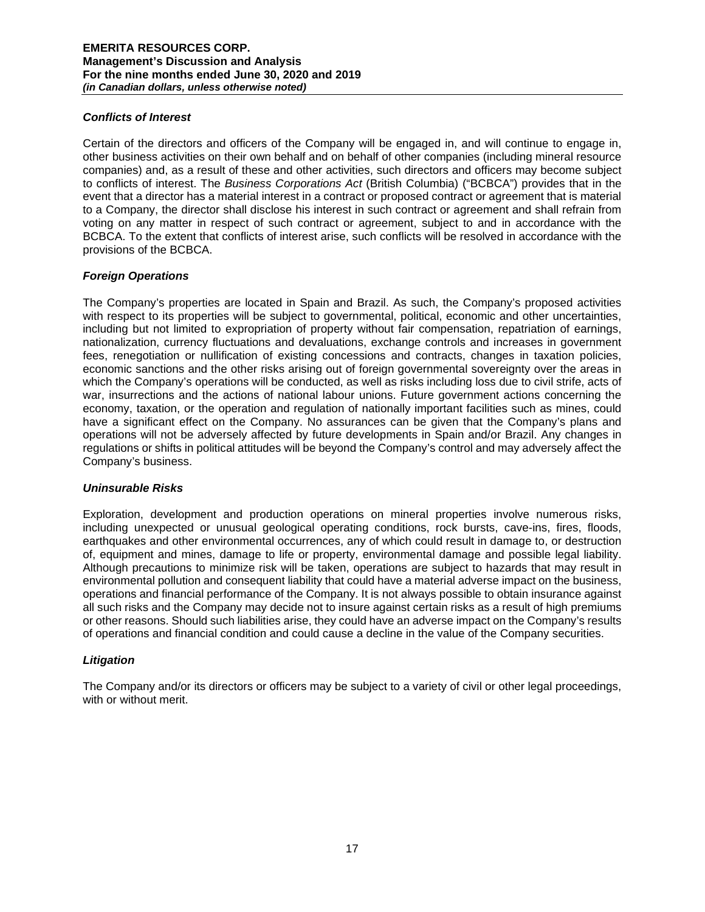## *Conflicts of Interest*

Certain of the directors and officers of the Company will be engaged in, and will continue to engage in, other business activities on their own behalf and on behalf of other companies (including mineral resource companies) and, as a result of these and other activities, such directors and officers may become subject to conflicts of interest. The *Business Corporations Act* (British Columbia) ("BCBCA") provides that in the event that a director has a material interest in a contract or proposed contract or agreement that is material to a Company, the director shall disclose his interest in such contract or agreement and shall refrain from voting on any matter in respect of such contract or agreement, subject to and in accordance with the BCBCA. To the extent that conflicts of interest arise, such conflicts will be resolved in accordance with the provisions of the BCBCA.

# *Foreign Operations*

The Company's properties are located in Spain and Brazil. As such, the Company's proposed activities with respect to its properties will be subject to governmental, political, economic and other uncertainties, including but not limited to expropriation of property without fair compensation, repatriation of earnings, nationalization, currency fluctuations and devaluations, exchange controls and increases in government fees, renegotiation or nullification of existing concessions and contracts, changes in taxation policies, economic sanctions and the other risks arising out of foreign governmental sovereignty over the areas in which the Company's operations will be conducted, as well as risks including loss due to civil strife, acts of war, insurrections and the actions of national labour unions. Future government actions concerning the economy, taxation, or the operation and regulation of nationally important facilities such as mines, could have a significant effect on the Company. No assurances can be given that the Company's plans and operations will not be adversely affected by future developments in Spain and/or Brazil. Any changes in regulations or shifts in political attitudes will be beyond the Company's control and may adversely affect the Company's business.

## *Uninsurable Risks*

Exploration, development and production operations on mineral properties involve numerous risks, including unexpected or unusual geological operating conditions, rock bursts, cave-ins, fires, floods, earthquakes and other environmental occurrences, any of which could result in damage to, or destruction of, equipment and mines, damage to life or property, environmental damage and possible legal liability. Although precautions to minimize risk will be taken, operations are subject to hazards that may result in environmental pollution and consequent liability that could have a material adverse impact on the business, operations and financial performance of the Company. It is not always possible to obtain insurance against all such risks and the Company may decide not to insure against certain risks as a result of high premiums or other reasons. Should such liabilities arise, they could have an adverse impact on the Company's results of operations and financial condition and could cause a decline in the value of the Company securities.

## *Litigation*

The Company and/or its directors or officers may be subject to a variety of civil or other legal proceedings, with or without merit.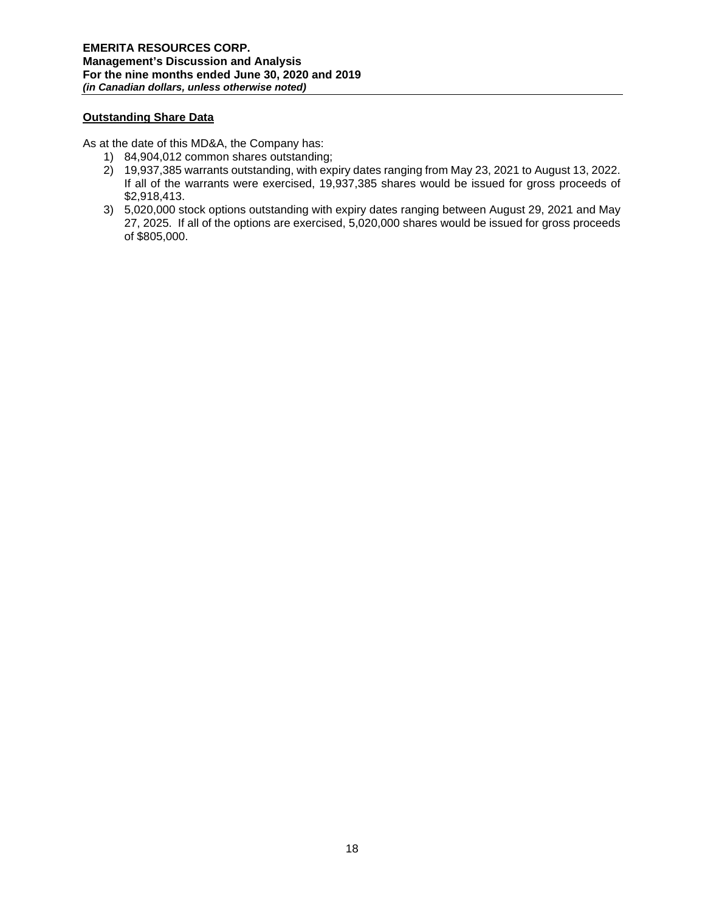# **Outstanding Share Data**

As at the date of this MD&A, the Company has:

- 1) 84,904,012 common shares outstanding;
- 2) 19,937,385 warrants outstanding, with expiry dates ranging from May 23, 2021 to August 13, 2022. If all of the warrants were exercised, 19,937,385 shares would be issued for gross proceeds of \$2,918,413.
- 3) 5,020,000 stock options outstanding with expiry dates ranging between August 29, 2021 and May 27, 2025. If all of the options are exercised, 5,020,000 shares would be issued for gross proceeds of \$805,000.